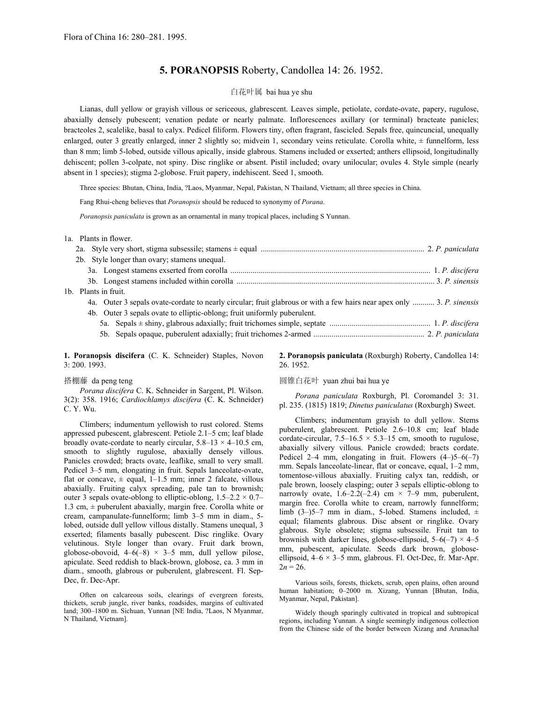## **5. PORANOPSIS** Roberty, Candollea 14: 26. 1952.

## 白花叶属 bai hua ye shu

Lianas, dull yellow or grayish villous or sericeous, glabrescent. Leaves simple, petiolate, cordate-ovate, papery, rugulose, abaxially densely pubescent; venation pedate or nearly palmate. Inflorescences axillary (or terminal) bracteate panicles; bracteoles 2, scalelike, basal to calyx. Pedicel filiform. Flowers tiny, often fragrant, fascicled. Sepals free, quincuncial, unequally enlarged, outer 3 greatly enlarged, inner 2 slightly so; midvein 1, secondary veins reticulate. Corolla white,  $\pm$  funnelform, less than 8 mm; limb 5-lobed, outside villous apically, inside glabrous. Stamens included or exserted; anthers ellipsoid, longitudinally dehiscent; pollen 3-colpate, not spiny. Disc ringlike or absent. Pistil included; ovary unilocular; ovules 4. Style simple (nearly absent in 1 species); stigma 2-globose. Fruit papery, indehiscent. Seed 1, smooth.

Three species: Bhutan, China, India, ?Laos, Myanmar, Nepal, Pakistan, N Thailand, Vietnam; all three species in China.

Fang Rhui-cheng believes that *Poranopsis* should be reduced to synonymy of *Porana*.

*Poranopsis paniculata* is grown as an ornamental in many tropical places, including S Yunnan.

1a. Plants in flower.

 $1<sub>b</sub>$ .

| 2b. Style longer than ovary; stamens unequal.                                                                          |  |
|------------------------------------------------------------------------------------------------------------------------|--|
|                                                                                                                        |  |
|                                                                                                                        |  |
| Plants in fruit.                                                                                                       |  |
| 4a. Outer 3 sepals ovate-cordate to nearly circular; fruit glabrous or with a few hairs near apex only  3. P. sinensis |  |
| 4b. Outer 3 sepals ovate to elliptic-oblong; fruit uniformly puberulent.                                               |  |
|                                                                                                                        |  |
|                                                                                                                        |  |
|                                                                                                                        |  |

**1. Poranopsis discifera** (C. K. Schneider) Staples, Novon 3: 200. 1993.

*Porana discifera* C. K. Schneider in Sargent, Pl. Wilson. 3(2): 358. 1916; *Cardiochlamys discifera* (C. K. Schneider) C. Y. Wu.

Climbers; indumentum yellowish to rust colored. Stems appressed pubescent, glabrescent. Petiole 2.1–5 cm; leaf blade broadly ovate-cordate to nearly circular,  $5.8-13 \times 4-10.5$  cm, smooth to slightly rugulose, abaxially densely villous. Panicles crowded; bracts ovate, leaflike, small to very small. Pedicel 3–5 mm, elongating in fruit. Sepals lanceolate-ovate, flat or concave,  $\pm$  equal, 1–1.5 mm; inner 2 falcate, villous abaxially. Fruiting calyx spreading, pale tan to brownish; outer 3 sepals ovate-oblong to elliptic-oblong,  $1.5-2.2 \times 0.7-$ 1.3 cm,  $\pm$  puberulent abaxially, margin free. Corolla white or cream, campanulate-funnelform; limb 3–5 mm in diam., 5 lobed, outside dull yellow villous distally. Stamens unequal, 3 exserted; filaments basally pubescent. Disc ringlike. Ovary velutinous. Style longer than ovary. Fruit dark brown, globose-obovoid,  $4-6(-8) \times 3-5$  mm, dull yellow pilose, apiculate. Seed reddish to black-brown, globose, ca. 3 mm in diam., smooth, glabrous or puberulent, glabrescent. Fl. Sep-Dec, fr. Dec-Apr. **Dec-Apr.** Various soils, forests, thickets, scrub, open plains, often around

Often on calcareous soils, clearings of evergreen forests, thickets, scrub jungle, river banks, roadsides, margins of cultivated land; 300–1800 m. Sichuan, Yunnan [NE India, ?Laos, N Myanmar,

**2. Poranopsis paniculata** (Roxburgh) Roberty, Candollea 14: 26. 1952.

## 搭棚藤 da peng teng and the control of the control of 国锥白花叶 yuan zhui bai hua ye

*Porana paniculata* Roxburgh, Pl. Coromandel 3: 31. pl. 235. (1815) 1819; *Dinetus paniculatus* (Roxburgh) Sweet.

Climbers; indumentum grayish to dull yellow. Stems puberulent, glabrescent. Petiole 2.6–10.8 cm; leaf blade cordate-circular,  $7.5-16.5 \times 5.3-15$  cm, smooth to rugulose, abaxially silvery villous. Panicle crowded; bracts cordate. Pedicel 2–4 mm, elongating in fruit. Flowers  $(4–)5–6(-7)$ mm. Sepals lanceolate-linear, flat or concave, equal, 1–2 mm, tomentose-villous abaxially. Fruiting calyx tan, reddish, or pale brown, loosely clasping; outer 3 sepals elliptic-oblong to narrowly ovate,  $1.6-2.2(-2.4)$  cm  $\times$  7-9 mm, puberulent, margin free. Corolla white to cream, narrowly funnelform; limb (3–)5–7 mm in diam., 5-lobed. Stamens included,  $\pm$ equal; filaments glabrous. Disc absent or ringlike. Ovary glabrous. Style obsolete; stigma subsessile. Fruit tan to brownish with darker lines, globose-ellipsoid,  $5-6(-7) \times 4-5$ mm, pubescent, apiculate. Seeds dark brown, globoseellipsoid,  $4-6 \times 3-5$  mm, glabrous. Fl. Oct-Dec, fr. Mar-Apr.  $2n = 26$ .

human habitation; 0–2000 m. Xizang, Yunnan [Bhutan, India,

Widely though sparingly cultivated in tropical and subtropical regions, including Yunnan. A single seemingly indigenous collection from the Chinese side of the border between Xizang and Arunachal